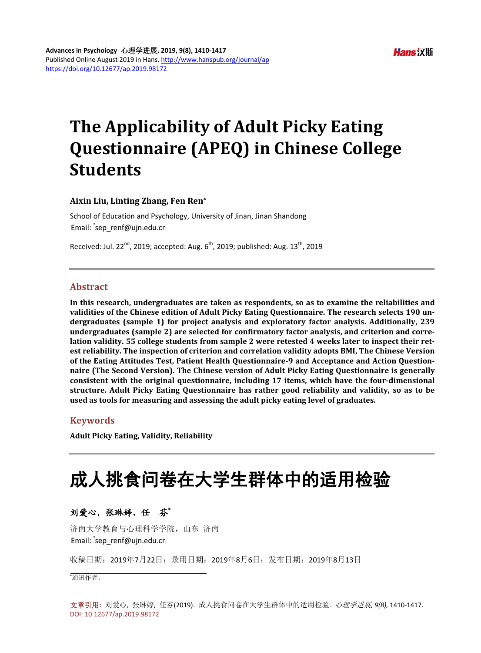## **The Applicability of Adult Picky Eating Questionnaire (APEQ) in Chinese College Students**

## **Aixin Liu, Linting Zhang, Fen Ren\***

School of Education and Psychology, University of Jinan, Jinan Shandong Email: sep renf@ujn.edu.cn

Received: Jul. 22<sup>nd</sup>, 2019; accepted: Aug.  $6<sup>th</sup>$ , 2019; published: Aug.  $13<sup>th</sup>$ , 2019

## **Abstract**

**In this research, undergraduates are taken as respondents, so as to examine the reliabilities and validities of the Chinese edition of Adult Picky Eating Questionnaire. The research selects 190 undergraduates (sample 1) for project analysis and exploratory factor analysis. Additionally, 239 undergraduates (sample 2) are selected for confirmatory factor analysis, and criterion and correlation validity. 55 college students from sample 2 were retested 4 weeks later to inspect their retest reliability. The inspection of criterion and correlation validity adopts BMI, The Chinese Version of the Eating Attitudes Test, Patient Health Questionnaire-9 and Acceptance and Action Questionnaire (The Second Version). The Chinese version of Adult Picky Eating Questionnaire is generally consistent with the original questionnaire, including 17 items, which have the four-dimensional structure. Adult Picky Eating Questionnaire has rather good reliability and validity, so as to be used as tools for measuring and assessing the adult picky eating level of graduates.**

## **Keywords**

**Adult Picky Eating, Validity, Reliability**

# 成人挑食问卷在大学生群体中的适用检验

## 刘爱心,张琳婷,任芬**\***

济南大学教育与心理科学学院,山东 济南 Email: sep renf@ujn.edu.cn

收稿日期:2019年7月22日;录用日期:2019年8月6日;发布日期:2019年8月13日

\* 通讯作者。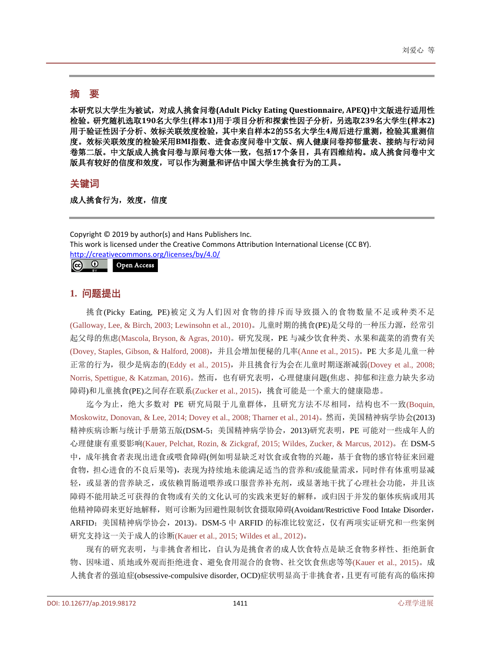## 摘 要

本研究以大学生为被试,对成人挑食问卷**(Adult Picky Eating Questionnaire, APEQ)**中文版进行适用性 检验。研究随机选取**190**名大学生**(**样本**1)**用于项目分析和探索性因子分析,另选取**239**名大学生**(**样本**2)** 用于验证性因子分析、效标关联效度检验,其中来自样本**2**的**55**名大学生**4**周后进行重测,检验其重测信 度。效标关联效度的检验采用**BMI**指数、进食态度问卷中文版、病人健康问卷抑郁量表、接纳与行动问 卷第二版。中文版成人挑食问卷与原问卷大体一致,包括**17**个条目,具有四维结构。成人挑食问卷中文 版具有较好的信度和效度,可以作为测量和评估中国大学生挑食行为的工具。

## 关键词

成人挑食行为,效度,信度

Copyright © 2019 by author(s) and Hans Publishers Inc. This work is licensed under the Creative Commons Attribution International License (CC BY). <http://creativecommons.org/licenses/by/4.0/>

 $\odot$ Open Access $\left(\mathrm{cc}\right)$ 

## **1.** 问题提出

挑食(Picky Eating, PE)被定义为人们因对食物的排斥而导致摄入的食物数量不足或种类不足 [\(Galloway, Lee, &](#page-7-0) Birch, 2003[; Lewinsohn et al., 2010\)](#page-7-0)。儿童时期的挑食(PE)是父母的一种压力源,经常引 起父母的焦虑[\(Mascola, Bryson, & Agras, 2010\)](#page-7-1)。研究发现,PE 与减少饮食种类、水果和蔬菜的消费有关 [\(Dovey, Staples, Gibson, & Halford, 2008\)](#page-6-0),并且会增加便秘的几率[\(Anne et al., 2015\)](#page-6-1)。PE 大多是儿童一种 正常的行为,很少是病态的[\(Eddy et al., 2015\)](#page-6-2),并且挑食行为会在儿童时期逐渐减弱(Dovey et al., 2008; [Norris, Spettigue, & Katzman, 2016\)](#page-6-0)。然而,也有研究表明,心理健康问题(焦虑、抑郁和注意力缺失多动 障碍)和儿童挑食(PE)之间存在联系[\(Zucker et al., 2015\)](#page-7-2), 挑食可能是一个重大的健康隐患。

迄今为止,绝大多数对 PE 研究局限于儿童群体,且研究方法不尽相同,结构也不一致[\(Boquin,](#page-6-3)  [Moskowitz, Donovan, & Lee, 2014; Dovey et al., 2008; Tharner et al., 2014\)](#page-6-3)。然而,美国精神病学协会(2013) 精神疾病诊断与统计手册第五版(DSM-5;美国精神病学协会,2013)研究表明,PE 可能对一些成年人的 心理健康有重要影[响](#page-7-3)[\(Kauer, Pelchat, Rozin, & Zickgraf, 2015; Wildes, Zucker, & Marcus, 2012\)](#page-7-3)。在 DSM-5 中,成年挑食者表现出进食或喂食障碍(例如明显缺乏对饮食或食物的兴趣,基于食物的感官特征来回避 食物,担心进食的不良后果等),表现为持续地未能满足适当的营养和/或能量需求,同时伴有体重明显减 轻, 或显著的营养缺乏, 或依赖胃肠道喂养或口服营养补充剂, 或显著地干扰了心理社会功能, 并且该 障碍不能用缺乏可获得的食物或有关的文化认可的实践来更好的解释,或归因于并发的躯体疾病或用其 他精神障碍来更好地解释,则可诊断为回避性限制饮食摄取障碍(Avoidant/Restrictive Food Intake Disorder, ARFID;美国精神病学协会,2013)。DSM-5 中 ARFID 的标准比较宽泛,仅有两项实证研究和一些案例 研究支持这一关于成人的诊[断](#page-7-3)[\(Kauer et al., 2015; Wildes et al., 2012\)](#page-7-3)。

现有的研究表明,与非挑食者相比,自认为是挑食者的成人饮食特点是缺乏食物多样性、拒绝新食 物、因味道、质地或外观而拒绝进食、避免食用混合的食物、社交饮食焦虑等等[\(Kauer et al., 2015\)](#page-7-3)。成 人挑食者的强迫症(obsessive-compulsive disorder, OCD)症状明显高于非挑食者,且更有可能有高的临床抑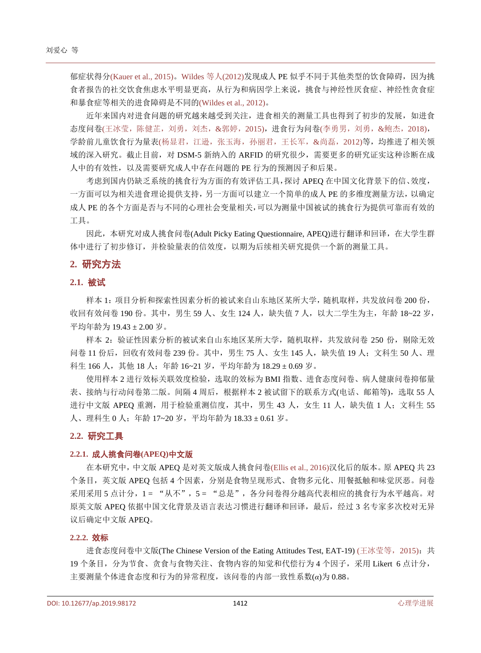郁症状得分[\(Kauer et al., 2015\)](#page-7-3)。[Wildes](#page-7-4) 等人(2012)发现成人 PE 似乎不同于其他类型的饮食障碍,因为挑 食者报告的社交饮食焦虑水平明显更高,从行为和病因学上来说,挑食与神经性厌食症、神经性贪食症 和暴食症等相关的进食障碍是不同的[\(Wildes et al., 2012\)](#page-7-4)。

近年来国内对进食问题的研究越来越受到关注,进食相关的测量工具也得到了初步的发展,如进食 态度问卷([王冰莹,陈健芷,刘勇,刘杰,](#page-6-4)&郭婷,2015),进食行为问卷([李勇男,刘勇,](#page-6-5)&鲍杰,2018), 学龄前儿童饮食行为量表([杨显君,江逊,张玉海,孙丽君,王长军,](#page-6-6)&尚磊,2012)等,均推进了相关领 域的深入研究。截止目前,对 DSM-5 新纳入的 ARFID 的研究很少,需要更多的研究证实这种诊断在成 人中的有效性,以及需要研究成人中存在问题的 PE 行为的预测因子和后果。

考虑到国内仍缺乏系统的挑食行为方面的有效评估工具,探讨 APEQ 在中国文化背景下的信、效度, 一方面可以为相关进食理论提供支持,另一方面可以建立一个简单的成人 PE 的多维度测量方法,以确定 成人 PE 的各个方面是否与不同的心理社会变量相关,可以为测量中国被试的挑食行为提供可靠而有效的 工具。

因此,本研究对成人挑食问卷(Adult Picky Eating Questionnaire, APEQ)进行翻译和回译,在大学生群 体中进行了初步修订,并检验量表的信效度,以期为后续相关研究提供一个新的测量工具。

## **2.** 研究方法

## **2.1.** 被试

样本 1:项目分析和探索性因素分析的被试来自山东地区某所大学,随机取样,共发放问卷 200 份, 收回有效问卷 190 份。其中,男生 59 人、女生 124 人,缺失值 7 人, 以大二学生为主,年龄 18~22 岁, 平均年龄为 19.43 ± 2.00 岁。

样本 2: 验证性因素分析的被试来自山东地区某所大学,随机取样,共发放问卷 250 份, 剔除无效 问卷 11 份后,回收有效问卷 239 份。其中,男生 75 人、女生 145 人,缺失值 19 人;文科生 50 人、理 科生 166 人, 其他 18 人; 年龄 16~21 岁, 平均年龄为 18.29 ± 0.69 岁。

使用样本 2 进行效标关联效度检验,选取的效标为 BMI 指数、进食态度问卷、病人健康问卷抑郁量 表、接纳与行动问卷第二版。间隔 4 周后,根据样本 2 被试留下的联系方式(电话、邮箱等), 选取 55 人 进行中文版 APEQ 重测,用于检验重测信度,其中,男生 43 人, 女生 11 人, 缺失值 1 人; 文科生 55 人、理科生 0 人;年龄 17~20 岁,平均年龄为 18.33 ± 0.61 岁。

#### **2.2.** 研究工具

## **2.2.1.** 成人挑食问卷**(APEQ)**中文版

在本研究中,中文版 APEQ 是对英文版成人挑食问卷[\(Ellis et al., 2016\)](#page-6-7)汉化后的版本。原 APEQ 共 23 个条目,英文版 APEQ 包括 4 个因素,分别是食物呈现形式、食物多元化、用餐抵触和味觉厌恶。问卷 采用采用 5 点计分,1 = "从不",5 = "总是",各分问卷得分越高代表相应的挑食行为水平越高。对 原英文版 APEQ 依据中国文化背景及语言表达习惯进行翻译和回译,最后,经过 3 名专家多次校对无异 议后确定中文版 APEQ。

#### **2.2.2.** 效标

进食态度问卷中文版(The Chinese Version of the Eating Attitudes Test, EAT-19) ([王冰莹等,](#page-6-4) 2015): 共 19 个条目, 分为节食、贪食与食物关注、食物内容的知觉和代偿行为 4 个因子, 采用 Likert 6 点计分, 主要测量个体进食态度和行为的异常程度,该问卷的内部一致性系数(*α*)为 0.88。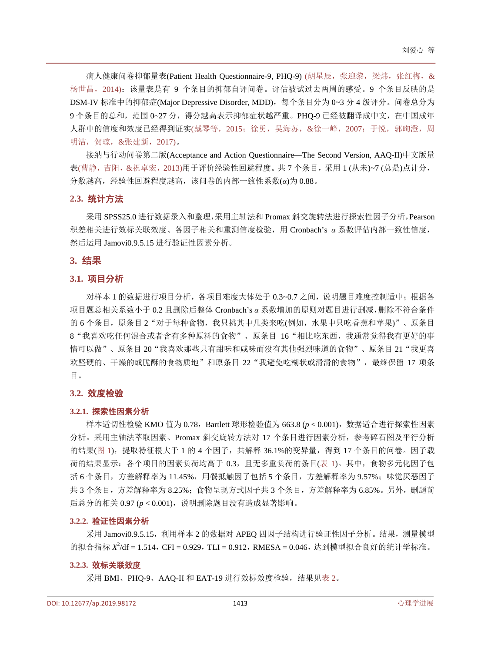病人健康问卷抑郁量表(Patient Health Questionnaire-9, PHQ-9) (胡星辰, 张迎黎, 梁炜, 张红梅, & [杨世昌,](#page-6-8)2014):该量表是有 9 个条目的抑郁自评问卷。评估被试过去两周的感受。9 个条目反映的是 DSM-IV 标准中的抑郁症(Major Depressive Disorder, MDD),每个条目分为 0~3 分 4 级评分。问卷总分为 9个条目的总和,范围 0~27 分,得分越高表示抑郁症状越严重。PHQ-9 已经被翻译成中文,在中国成年 人群中的信度和效度已经得到证实([戴琴等,](#page-6-9)2015[;徐勇,吴海苏,](#page-6-9)&徐一峰,2007[;于悦,郭昫澄,周](#page-6-10) [明洁,贺琼,](#page-6-10)&张建新,2017)。

接纳与行动问卷第二版(Acceptance and Action Questionnaire—The Second Version, AAQ-II)中文版量 表([曹静,吉阳,](#page-6-11)&祝卓宏,2013)用于评价经验性回避程度。共 7 个条目,采用 1 (从未)~7 (总是)点计分, 分数越高,经验性回避程度越高,该问卷的内部一致性系数(*α*)为 0.88。

#### **2.3.** 统计方法

采用 SPSS25.0 进行数据录入和整理,采用主轴法和 Promax 斜交旋转法进行探索性因子分析,Pearson 积差相关进行效标关联效度、各因子相关和重测信度检验,用 Cronbach's *α* 系数评估内部一致性信度, 然后运用 Jamovi0.9.5.15 进行验证性因素分析。

## **3.** 结果

#### **3.1.** 项目分析

对样本 1 的数据进行项目分析, 各项目难度大体处于 0.3~0.7 之间, 说明题目难度控制适中; 根据各 项目题总相关系数小于 0.2 且删除后整体 Cronbach's *α* 系数增加的原则对题目进行删减,删除不符合条件 的 6 个条目, 原条目 2 "对于每种食物, 我只挑其中几类来吃(例如, 水果中只吃香蕉和苹果)"、原条目 8"我喜欢吃任何混合或者含有多种原料的食物"、原条目 16"相比吃东西,我通常觉得我有更好的事 情可以做"、原条目 20 "我喜欢那些只有甜味和咸味而没有其他强烈味道的食物"、原条目 21 "我更喜 欢坚硬的、干燥的或脆酥的食物质地"和原条目 22 "我避免吃糊状或滑滑的食物",最终保留 17 项条 目。

## **3.2.** 效度检验

#### **3.2.1.** 探索性因素分析

样本适切性检验 KMO 值为 0.78, Bartlett 球形检验值为 663.8 (p < 0.001), 数据适合进行探索性因素 分析。采用主轴法萃取因素、Promax 斜交旋转方法对 17 个条目进行因素分析,参考碎石图及平行分析 的结果([图](#page-4-0) 1), 提取特征根大于 1 的 4 个因子, 共解释 36.1%的变异量, 得到 17 个条目的问卷。因子载 荷的结果显示:各个项目的因素负荷均高于 0.3,且无多重负荷的条目([表](#page-4-1) 1)。其中,食物多元化因子包 括 6 个条目,方差解释率为 11.45%,用餐抵触因子包括 5 个条目,方差解释率为 9.57%;味觉厌恶因子 共 3 个条目, 方差解释率为 8.25%; 食物呈现方式因子共 3 个条目, 方差解释率为 6.85%。另外, 删题前 后总分的相关 0.97 ( $p < 0.001$ ), 说明删除题目没有造成显著影响。

#### **3.2.2.** 验证性因素分析

采用 Jamovi0.9.5.15, 利用样本 2 的数据对 APEO 四因子结构进行验证性因子分析。结果, 测量模型 的拟合指标  $X^2$ /df = 1.514, CFI = 0.929, TLI = 0.912, RMESA = 0.046, 达到模型拟合良好的统计学标准。

#### **3.2.3.** 效标关联效度

采用 BMI、PHQ-9、AAQ-II 和 EAT-19 进行效标效度检验, 结果[见表](#page-4-2) 2。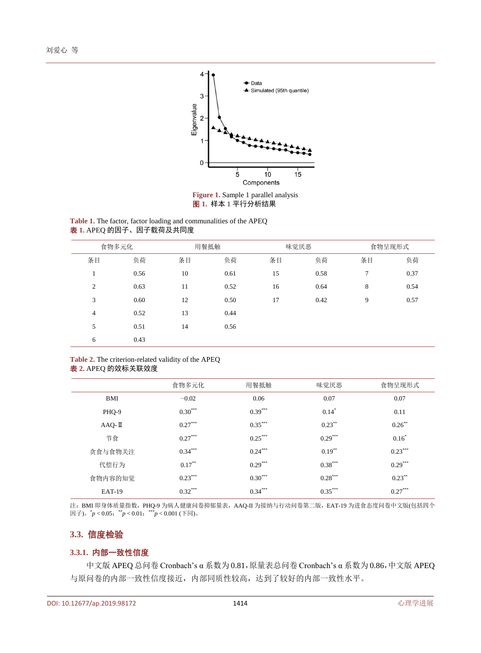<span id="page-4-0"></span>

**Figure 1.** Sample 1 parallel analysis 图 **1.** 样本 1 平行分析结果

<span id="page-4-1"></span>**Table 1.** The factor, factor loading and communalities of the APEQ 表 **1.** APEQ 的因子、因子载荷及共同度

| 食物多元化          |      | 用餐抵触 |      | 味觉厌恶 |      | 食物呈现形式 |      |
|----------------|------|------|------|------|------|--------|------|
| 条目             | 负荷   | 条目   | 负荷   | 条目   | 负荷   | 条目     | 负荷   |
| $\mathbf{I}$   | 0.56 | 10   | 0.61 | 15   | 0.58 | 7      | 0.37 |
| $\overline{c}$ | 0.63 | 11   | 0.52 | 16   | 0.64 | 8      | 0.54 |
| 3              | 0.60 | 12   | 0.50 | 17   | 0.42 | 9      | 0.57 |
| 4              | 0.52 | 13   | 0.44 |      |      |        |      |
| 5              | 0.51 | 14   | 0.56 |      |      |        |      |
| 6              | 0.43 |      |      |      |      |        |      |

#### <span id="page-4-2"></span>**Table 2.** The criterion-related validity of the APEQ 表 **2.** APEQ 的效标关联效度

|               | 食物多元化     | 用餐抵触      | 味觉厌恶      | 食物呈现形式    |
|---------------|-----------|-----------|-----------|-----------|
| <b>BMI</b>    | $-0.02$   | 0.06      | 0.07      | 0.07      |
| PHO-9         | $0.30***$ | $0.39***$ | $0.14^*$  | 0.11      |
| $AAO-I$       | $0.27***$ | $0.35***$ | $0.23***$ | $0.26***$ |
| 节食            | $0.27***$ | $0.25***$ | $0.29***$ | $0.16^*$  |
| 贪食与食物关注       | $0.34***$ | $0.24***$ | $0.19***$ | $0.23***$ |
| 代偿行为          | $0.17***$ | $0.29***$ | $0.38***$ | $0.29***$ |
| 食物内容的知觉       | $0.23***$ | $0.30***$ | $0.28***$ | $0.23***$ |
| <b>EAT-19</b> | $0.32***$ | $0.34***$ | $0.35***$ | $0.27***$ |

注: BMI 即身体质量指数, PHO-9 为病人健康问卷抑郁量表, AAO-II 为接纳与行动问卷第二版, EAT-19 为进食态度问卷中文版(包括四个 因子)。<sup>\*</sup>*p* < 0.05; <sup>\*\*</sup>*p* < 0.01; <sup>\*\*\*</sup>*p* < 0.001 (下同)。

## **3.3.** 信度检验

## **3.3.1.** 内部一致性信度

中文版 APEQ 总问卷 Cronbach's α 系数为 0.81,原量表总问卷 Cronbach's α 系数为 0.86,中文版 APEQ 与原问卷的内部一致性信度接近,内部同质性较高,达到了较好的内部一致性水平。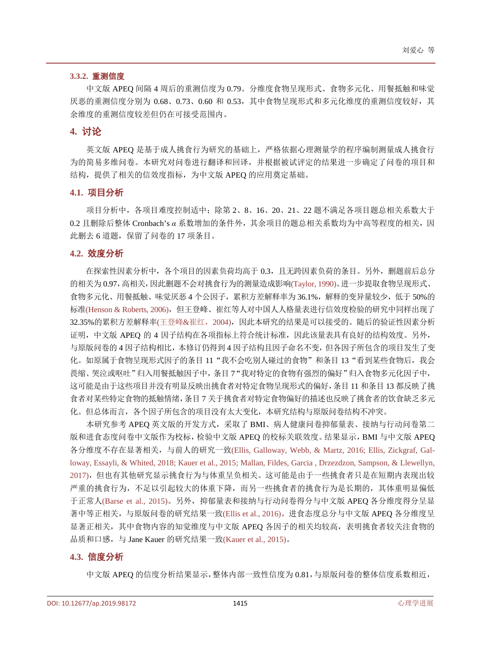#### **3.3.2.** 重测信度

中文版 APEQ 间隔 4 周后的重测信度为 0.79。分维度食物呈现形式、食物多元化、用餐抵触和味觉 厌恶的重测信度分别为 0.68、0.73、0.60 和 0.53,其中食物呈现形式和多元化维度的重测信度较好,其 余维度的重测信度较差但仍在可接受范围内。

#### **4.** 讨论

英文版 APEQ 是基于成人挑食行为研究的基础上,严格依据心理测量学的程序编制测量成人挑食行 为的简易多维问卷。本研究对问卷进行翻译和回译,并根据被试评定的结果进一步确定了问卷的项目和 结构,提供了相关的信效度指标,为中文版 APEQ 的应用奠定基础。

### **4.1.** 项目分析

项目分析中,各项目难度控制适中;除第 2、8、16、20、21、22 题不满足各项目题总相关系数大于 0.2 且删除后整体 Cronbach's *α* 系数增加的条件外,其余项目的题总相关系数均为中高等程度的相关,因 此删去 6 道题,保留了问卷的 17 项条目。

#### **4.2.** 效度分析

在探索性因素分析中,各个项目的因素负荷均高于 0.3,且无跨因素负荷的条目。另外,删题前后总分 的相关为 0.97,高相关,因此删题不会对挑食行为的测量造成影响[\(Taylor, 1990\)](#page-7-5)。进一步提取食物呈现形式、 食物多元化、用餐抵触、味觉厌恶 4 个公因子,累积方差解释率为 36.1%,解释的变异量较少,低于 50%的 标准[\(Henson & Roberts, 2006\)](#page-7-6),但王登峰、崔红等人对中国人人格量表进行信效度检验的研究中同样出现了 32.35%的累积方差解释率(王登峰&[崔红,](#page-6-12)2004),因此本研究的结果是可以接受的。随后的验证性因素分析 证明,中文版 APEQ 的 4 因子结构在各项指标上符合统计标准,因此该量表具有良好的结构效度。另外, 与原版问卷的 4 因子结构相比,本修订仍得到 4 因子结构且因子命名不变,但各因子所包含的项目发生了变 化。如原属于食物呈现形式因子的条目 11"我不会吃别人碰过的食物"和条目 13"看到某些食物后,我会 畏缩、哭泣或呕吐"归入用餐抵触因子中,条目 7"我对特定的食物有强烈的偏好"归入食物多元化因子中, 这可能是由于这些项目并没有明显反映出挑食者对特定食物呈现形式的偏好,条目 11 和条目 13 都反映了挑 食者对某些特定食物的抵触情绪,条目 7 关于挑食者对特定食物偏好的描述也反映了挑食者的饮食缺乏多元 化。但总体而言,各个因子所包含的项目没有太大变化,本研究结构与原版问卷结构不冲突。

本研究参考 APEQ 英文版的开发方式,采取了 BMI、病人健康问卷抑郁量表、接纳与行动问卷第二 版和进食态度问卷中文版作为校标,检验中文版 APEQ 的校标关联效度。结果显示,BMI 与中文版 APEQ 各分维度不存在显著相关,与前人的研究一[致](#page-6-7)[\(Ellis, Galloway, Webb, & Martz, 2016; Ellis, Zickgraf, Gal](#page-6-7)loway, Essayli, & Whited, 2018; [K](#page-7-3)auer et al., 2015[; Mallan, Fildes, Garcia , Drzezdzon, Sampson, & Llewellyn,](#page-7-3)  2017),但也有其他研究显示挑食行为与体重呈负相关。这可能是由于一些挑食者只是在短期内表现出较 严重的挑食行为,不足以引起较大的体重下降,而另一些挑食者的挑食行为是长期的,其体重明显偏低 于正常人[\(Barse et al., 2015\)](#page-6-13)。另外,抑郁量表和接纳与行动问卷得分与中文版 APEQ 各分维度得分呈显 著中等正相关,与原版问卷的研究结果一致[\(Ellis et al., 2016\)](#page-6-7)。进食态度总分与中文版 APEQ 各分维度呈 显著正相关,其中食物内容的知觉维度与中文版 APEO 各因子的相关均较高,表明挑食者较关注食物的 品质和口感,与 Jane Kauer 的研究结果一致[\(Kauer et al., 2015\)](#page-7-3)。

## **4.3.** 信度分析

中文版 APEQ 的信度分析结果显示,整体内部一致性信度为 0.81,与原版问卷的整体信度系数相近,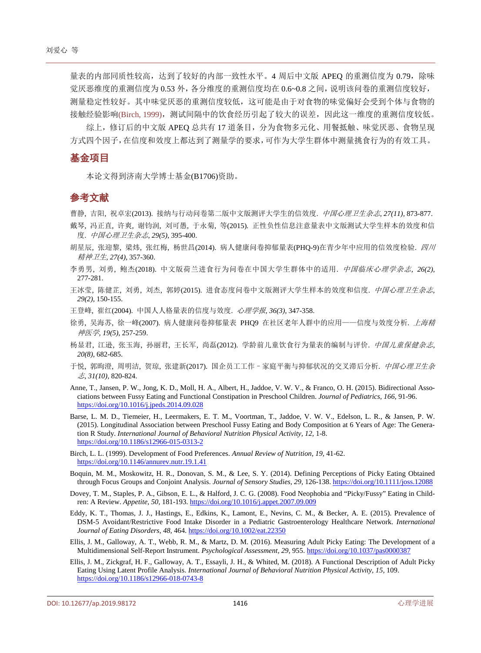量表的内部同质性较高,达到了较好的内部一致性水平。4 周后中文版 APEO 的重测信度为 0.79,除味 觉厌恶维度的重测信度为 0.53 外,各分维度的重测信度均在 0.6~0.8 之间,说明该问卷的重测信度较好, 测量稳定性较好。其中味觉厌恶的重测信度较低,这可能是由于对食物的味觉偏好会受到个体与食物的 接触经验影响[\(Birch, 1999\)](#page-6-14),测试间隔中的饮食经历引起了较大的误差,因此这一维度的重测信度较低。

综上,修订后的中文版 APEQ 总共有 17 道条目,分为食物多元化、用餐抵触、味觉厌恶、食物呈现 方式四个因子,在信度和效度上都达到了测量学的要求,可作为大学生群体中测量挑食行为的有效工具。

## 基金项目

本论文得到济南大学博士基金(B1706)资助。

## 参考文献

<span id="page-6-11"></span>曹静, 吉阳, 祝卓宏(2013). 接纳与行动问卷第二版中文版测评大学生的信效度. 中国心理卫生杂志*, 27(11),* 873-877.

- <span id="page-6-9"></span>戴琴, 冯正直, 许爽, 谢钧润, 刘可愚, 于永菊, 等(2015). 正性负性信息注意量表中文版测试大学生样本的效度和信 度. 中国心理卫生杂志*, 29(5),* 395-400.
- <span id="page-6-8"></span>胡星辰, 张迎黎, 梁炜, 张红梅, 杨世昌(2014). 病人健康问卷抑郁量表(PHQ-9)在青少年中应用的信效度检验. *四川* 精神卫生*, 27(4),* 357-360.

<span id="page-6-5"></span>李勇男, 刘勇, 鲍杰(2018). 中文版荷兰进食行为问卷在中国大学生群体中的适用. 中国临床心理学杂志*, 26(2),* 277-281.

- <span id="page-6-4"></span>王冰莹, 陈健芷, 刘勇, 刘杰, 郭婷(2015). 进食态度问卷中文版测评大学生样本的效度和信度. 中国心理卫生杂志*, 29(2),* 150-155.
- <span id="page-6-12"></span>王登峰, 崔红(2004). 中国人人格量表的信度与效度. 心理学报*, 36(3),* 347-358.
- 徐勇, 吴海苏, 徐一峰(2007). 病人健康问卷抑郁量表 PHQ9 在社区老年人群中的应用——信度与效度分析. *上海精* 神医学*, 19(5),* 257-259.
- <span id="page-6-6"></span>杨显君, 江逊, 张玉海, 孙丽君, 王长军, 尚磊(2012). 学龄前儿童饮食行为量表的编制与评价. 中国儿童保健杂志*, 20(8),* 682-685.
- <span id="page-6-10"></span>于悦, 郭昫澄, 周明洁, 贺琼, 张建新(2017). 国企员工工作 - 家庭平衡与抑郁状况的交叉滞后分析. *中国心理卫生杂* 志*, 31(10),* 820-824.
- <span id="page-6-1"></span>Anne, T., Jansen, P. W., Jong, K. D., Moll, H. A., Albert, H., Jaddoe, V. W. V., & Franco, O. H. (2015). Bidirectional Associations between Fussy Eating and Functional Constipation in Preschool Children. *Journal of Pediatrics, 166,* 91-96. <https://doi.org/10.1016/j.jpeds.2014.09.028>
- <span id="page-6-13"></span>Barse, L. M. D., Tiemeier, H., Leermakers, E. T. M., Voortman, T., Jaddoe, V. W. V., Edelson, L. R., & Jansen, P. W. (2015). Longitudinal Association between Preschool Fussy Eating and Body Composition at 6 Years of Age: The Generation R Study. *International Journal of Behavioral Nutrition Physical Activity, 12,* 1-8. <https://doi.org/10.1186/s12966-015-0313-2>
- <span id="page-6-14"></span>Birch, L. L. (1999). Development of Food Preferences. *Annual Review of Nutrition, 19,* 41-62. <https://doi.org/10.1146/annurev.nutr.19.1.41>
- <span id="page-6-3"></span>Boquin, M. M., Moskowitz, H. R., Donovan, S. M., & Lee, S. Y. (2014). Defining Perceptions of Picky Eating Obtained through Focus Groups and Conjoint Analysis. *Journal of Sensory Studies, 29,* 126-138. <https://doi.org/10.1111/joss.12088>
- <span id="page-6-0"></span>Dovey, T. M., Staples, P. A., Gibson, E. L., & Halford, J. C. G. (2008). Food Neophobia and "Picky/Fussy" Eating in Children: A Review. *Appetite, 50,* 181-193. <https://doi.org/10.1016/j.appet.2007.09.009>
- <span id="page-6-2"></span>Eddy, K. T., Thomas, J. J., Hastings, E., Edkins, K., Lamont, E., Nevins, C. M., & Becker, A. E. (2015). Prevalence of DSM-5 Avoidant/Restrictive Food Intake Disorder in a Pediatric Gastroenterology Healthcare Network. *International Journal of Eating Disorders, 48,* 464. <https://doi.org/10.1002/eat.22350>
- <span id="page-6-7"></span>Ellis, J. M., Galloway, A. T., Webb, R. M., & Martz, D. M. (2016). Measuring Adult Picky Eating: The Development of a Multidimensional Self-Report Instrument. *Psychological Assessment, 29,* 955. <https://doi.org/10.1037/pas0000387>
- Ellis, J. M., Zickgraf, H. F., Galloway, A. T., Essayli, J. H., & Whited, M. (2018). A Functional Description of Adult Picky Eating Using Latent Profile Analysis. *International Journal of Behavioral Nutrition Physical Activity, 15,* 109. <https://doi.org/10.1186/s12966-018-0743-8>